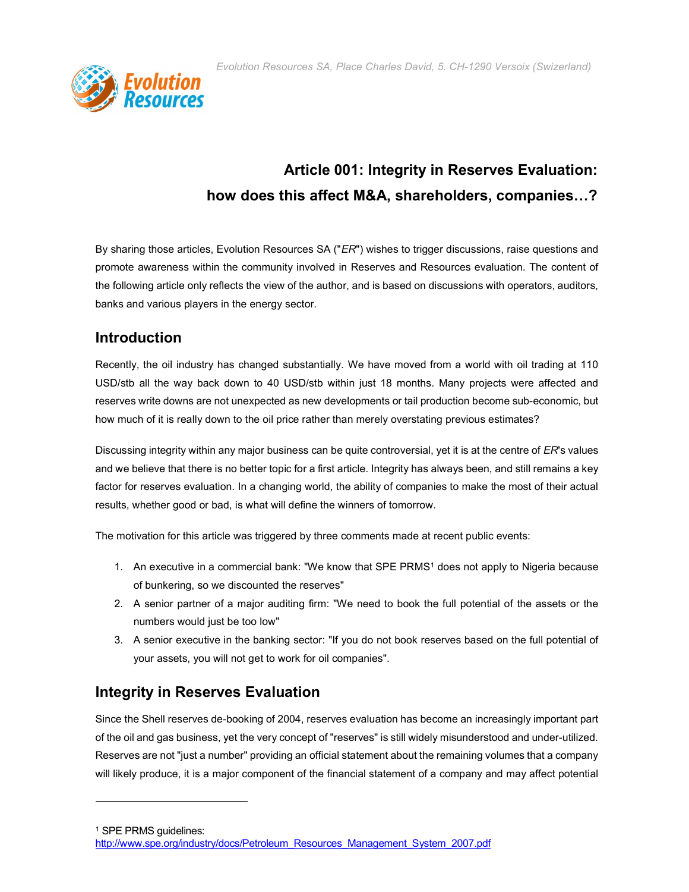Evolution Resources SA, Place Charles David, 5. CH-1290 Versoix (Swizerland)



# Article 001: Integrity in Reserves Evaluation: how does this affect M&A, shareholders, companies…?

By sharing those articles, Evolution Resources SA ("ER") wishes to trigger discussions, raise questions and promote awareness within the community involved in Reserves and Resources evaluation. The content of the following article only reflects the view of the author, and is based on discussions with operators, auditors, banks and various players in the energy sector.

### **Introduction**

Recently, the oil industry has changed substantially. We have moved from a world with oil trading at 110 USD/stb all the way back down to 40 USD/stb within just 18 months. Many projects were affected and reserves write downs are not unexpected as new developments or tail production become sub-economic, but how much of it is really down to the oil price rather than merely overstating previous estimates?

Discussing integrity within any major business can be quite controversial, yet it is at the centre of ER's values and we believe that there is no better topic for a first article. Integrity has always been, and still remains a key factor for reserves evaluation. In a changing world, the ability of companies to make the most of their actual results, whether good or bad, is what will define the winners of tomorrow.

The motivation for this article was triggered by three comments made at recent public events:

- 1. An executive in a commercial bank: "We know that SPE PRMS1 does not apply to Nigeria because of bunkering, so we discounted the reserves"
- 2. A senior partner of a major auditing firm: "We need to book the full potential of the assets or the numbers would just be too low"
- 3. A senior executive in the banking sector: "If you do not book reserves based on the full potential of your assets, you will not get to work for oil companies".

## Integrity in Reserves Evaluation

Since the Shell reserves de-booking of 2004, reserves evaluation has become an increasingly important part of the oil and gas business, yet the very concept of "reserves" is still widely misunderstood and under-utilized. Reserves are not "just a number" providing an official statement about the remaining volumes that a company will likely produce, it is a major component of the financial statement of a company and may affect potential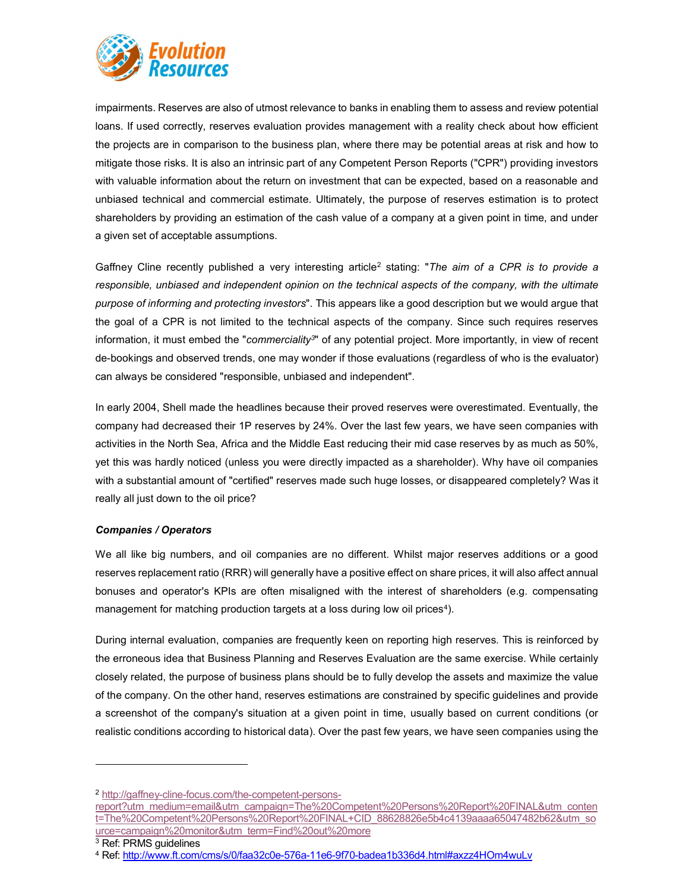

impairments. Reserves are also of utmost relevance to banks in enabling them to assess and review potential loans. If used correctly, reserves evaluation provides management with a reality check about how efficient the projects are in comparison to the business plan, where there may be potential areas at risk and how to mitigate those risks. It is also an intrinsic part of any Competent Person Reports ("CPR") providing investors with valuable information about the return on investment that can be expected, based on a reasonable and unbiased technical and commercial estimate. Ultimately, the purpose of reserves estimation is to protect shareholders by providing an estimation of the cash value of a company at a given point in time, and under a given set of acceptable assumptions.

Gaffney Cline recently published a very interesting article<sup>2</sup> stating: "The aim of a CPR is to provide a responsible, unbiased and independent opinion on the technical aspects of the company, with the ultimate purpose of informing and protecting investors". This appears like a good description but we would argue that the goal of a CPR is not limited to the technical aspects of the company. Since such requires reserves information, it must embed the "commerciality<sup>3</sup>" of any potential project. More importantly, in view of recent de-bookings and observed trends, one may wonder if those evaluations (regardless of who is the evaluator) can always be considered "responsible, unbiased and independent".

In early 2004, Shell made the headlines because their proved reserves were overestimated. Eventually, the company had decreased their 1P reserves by 24%. Over the last few years, we have seen companies with activities in the North Sea, Africa and the Middle East reducing their mid case reserves by as much as 50%, yet this was hardly noticed (unless you were directly impacted as a shareholder). Why have oil companies with a substantial amount of "certified" reserves made such huge losses, or disappeared completely? Was it really all just down to the oil price?

#### Companies / Operators

We all like big numbers, and oil companies are no different. Whilst major reserves additions or a good reserves replacement ratio (RRR) will generally have a positive effect on share prices, it will also affect annual bonuses and operator's KPIs are often misaligned with the interest of shareholders (e.g. compensating management for matching production targets at a loss during low oil prices<sup>4</sup>).

During internal evaluation, companies are frequently keen on reporting high reserves. This is reinforced by the erroneous idea that Business Planning and Reserves Evaluation are the same exercise. While certainly closely related, the purpose of business plans should be to fully develop the assets and maximize the value of the company. On the other hand, reserves estimations are constrained by specific guidelines and provide a screenshot of the company's situation at a given point in time, usually based on current conditions (or realistic conditions according to historical data). Over the past few years, we have seen companies using the

<sup>2</sup> http://gaffney-cline-focus.com/the-competent-persons-

report?utm\_medium=email&utm\_campaign=The%20Competent%20Persons%20Report%20FINAL&utm\_conten t=The%20Competent%20Persons%20Report%20FINAL+CID\_88628826e5b4c4139aaaa65047482b62&utm\_so urce=campaign%20monitor&utm\_term=Find%20out%20more

<sup>3</sup> Ref: PRMS guidelines

<sup>4</sup> Ref: http://www.ft.com/cms/s/0/faa32c0e-576a-11e6-9f70-badea1b336d4.html#axzz4HOm4wuLv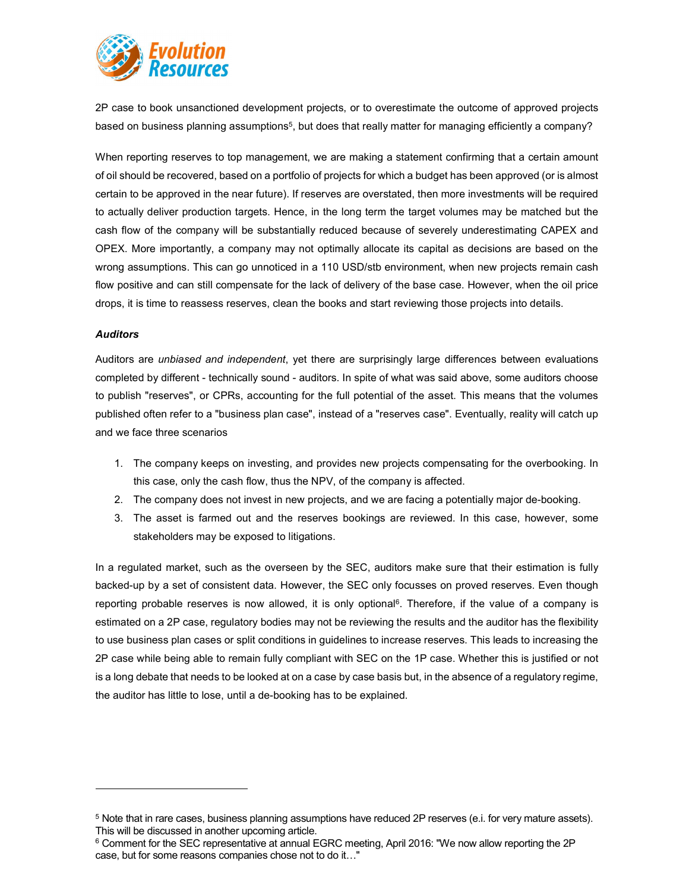

2P case to book unsanctioned development projects, or to overestimate the outcome of approved projects based on business planning assumptions $^5$ , but does that really matter for managing efficiently a company?

When reporting reserves to top management, we are making a statement confirming that a certain amount of oil should be recovered, based on a portfolio of projects for which a budget has been approved (or is almost certain to be approved in the near future). If reserves are overstated, then more investments will be required to actually deliver production targets. Hence, in the long term the target volumes may be matched but the cash flow of the company will be substantially reduced because of severely underestimating CAPEX and OPEX. More importantly, a company may not optimally allocate its capital as decisions are based on the wrong assumptions. This can go unnoticed in a 110 USD/stb environment, when new projects remain cash flow positive and can still compensate for the lack of delivery of the base case. However, when the oil price drops, it is time to reassess reserves, clean the books and start reviewing those projects into details.

#### Auditors

Auditors are unbiased and independent, yet there are surprisingly large differences between evaluations completed by different - technically sound - auditors. In spite of what was said above, some auditors choose to publish "reserves", or CPRs, accounting for the full potential of the asset. This means that the volumes published often refer to a "business plan case", instead of a "reserves case". Eventually, reality will catch up and we face three scenarios

- 1. The company keeps on investing, and provides new projects compensating for the overbooking. In this case, only the cash flow, thus the NPV, of the company is affected.
- 2. The company does not invest in new projects, and we are facing a potentially major de-booking.
- 3. The asset is farmed out and the reserves bookings are reviewed. In this case, however, some stakeholders may be exposed to litigations.

In a regulated market, such as the overseen by the SEC, auditors make sure that their estimation is fully backed-up by a set of consistent data. However, the SEC only focusses on proved reserves. Even though reporting probable reserves is now allowed, it is only optional<sup>6</sup>. Therefore, if the value of a company is estimated on a 2P case, regulatory bodies may not be reviewing the results and the auditor has the flexibility to use business plan cases or split conditions in guidelines to increase reserves. This leads to increasing the 2P case while being able to remain fully compliant with SEC on the 1P case. Whether this is justified or not is a long debate that needs to be looked at on a case by case basis but, in the absence of a regulatory regime, the auditor has little to lose, until a de-booking has to be explained.

<sup>5</sup> Note that in rare cases, business planning assumptions have reduced 2P reserves (e.i. for very mature assets). This will be discussed in another upcoming article.

 $^6$  Comment for the SEC representative at annual EGRC meeting, April 2016: "We now allow reporting the 2P case, but for some reasons companies chose not to do it…"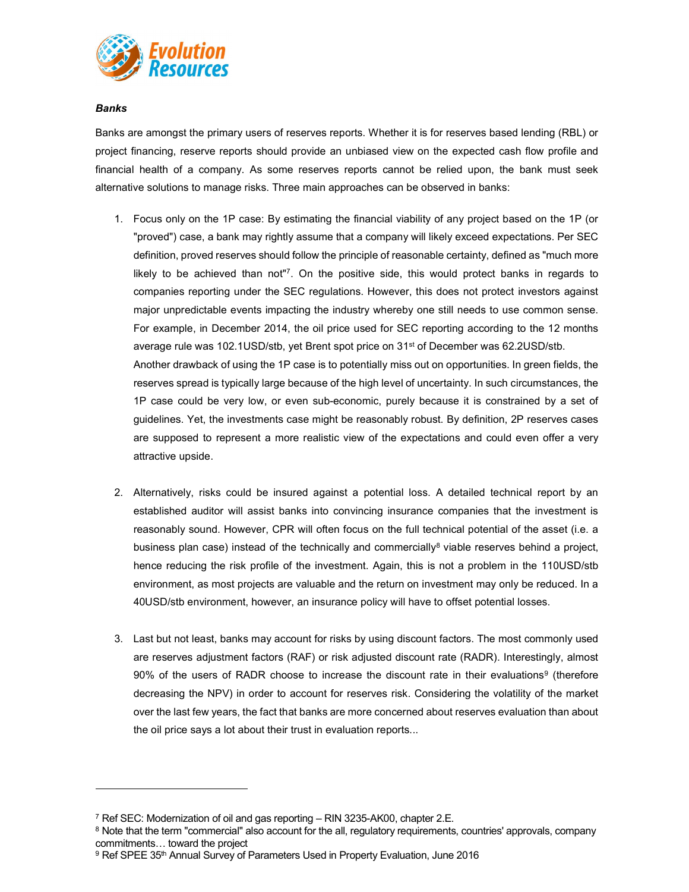

Banks

Banks are amongst the primary users of reserves reports. Whether it is for reserves based lending (RBL) or project financing, reserve reports should provide an unbiased view on the expected cash flow profile and financial health of a company. As some reserves reports cannot be relied upon, the bank must seek alternative solutions to manage risks. Three main approaches can be observed in banks:

- 1. Focus only on the 1P case: By estimating the financial viability of any project based on the 1P (or "proved") case, a bank may rightly assume that a company will likely exceed expectations. Per SEC definition, proved reserves should follow the principle of reasonable certainty, defined as "much more likely to be achieved than not"<sup>7</sup>. On the positive side, this would protect banks in regards to companies reporting under the SEC regulations. However, this does not protect investors against major unpredictable events impacting the industry whereby one still needs to use common sense. For example, in December 2014, the oil price used for SEC reporting according to the 12 months average rule was 102.1USD/stb, yet Brent spot price on 31<sup>st</sup> of December was 62.2USD/stb. Another drawback of using the 1P case is to potentially miss out on opportunities. In green fields, the reserves spread is typically large because of the high level of uncertainty. In such circumstances, the 1P case could be very low, or even sub-economic, purely because it is constrained by a set of guidelines. Yet, the investments case might be reasonably robust. By definition, 2P reserves cases are supposed to represent a more realistic view of the expectations and could even offer a very attractive upside.
- 2. Alternatively, risks could be insured against a potential loss. A detailed technical report by an established auditor will assist banks into convincing insurance companies that the investment is reasonably sound. However, CPR will often focus on the full technical potential of the asset (i.e. a business plan case) instead of the technically and commercially<sup>8</sup> viable reserves behind a project, hence reducing the risk profile of the investment. Again, this is not a problem in the 110USD/stb environment, as most projects are valuable and the return on investment may only be reduced. In a 40USD/stb environment, however, an insurance policy will have to offset potential losses.
- 3. Last but not least, banks may account for risks by using discount factors. The most commonly used are reserves adjustment factors (RAF) or risk adjusted discount rate (RADR). Interestingly, almost  $90\%$  of the users of RADR choose to increase the discount rate in their evaluations<sup>9</sup> (therefore decreasing the NPV) in order to account for reserves risk. Considering the volatility of the market over the last few years, the fact that banks are more concerned about reserves evaluation than about the oil price says a lot about their trust in evaluation reports...

<sup>7</sup> Ref SEC: Modernization of oil and gas reporting – RIN 3235-AK00, chapter 2.E.

 $8$  Note that the term "commercial" also account for the all, regulatory requirements, countries' approvals, company commitments… toward the project

<sup>&</sup>lt;sup>9</sup> Ref SPEE 35<sup>th</sup> Annual Survey of Parameters Used in Property Evaluation, June 2016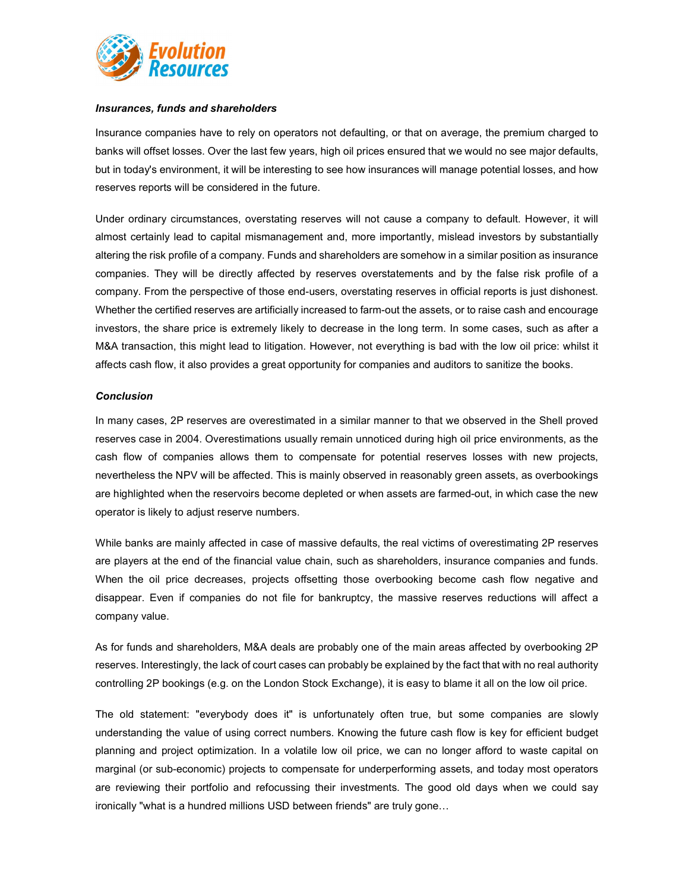

#### Insurances, funds and shareholders

Insurance companies have to rely on operators not defaulting, or that on average, the premium charged to banks will offset losses. Over the last few years, high oil prices ensured that we would no see major defaults, but in today's environment, it will be interesting to see how insurances will manage potential losses, and how reserves reports will be considered in the future.

Under ordinary circumstances, overstating reserves will not cause a company to default. However, it will almost certainly lead to capital mismanagement and, more importantly, mislead investors by substantially altering the risk profile of a company. Funds and shareholders are somehow in a similar position as insurance companies. They will be directly affected by reserves overstatements and by the false risk profile of a company. From the perspective of those end-users, overstating reserves in official reports is just dishonest. Whether the certified reserves are artificially increased to farm-out the assets, or to raise cash and encourage investors, the share price is extremely likely to decrease in the long term. In some cases, such as after a M&A transaction, this might lead to litigation. However, not everything is bad with the low oil price: whilst it affects cash flow, it also provides a great opportunity for companies and auditors to sanitize the books.

#### **Conclusion**

In many cases, 2P reserves are overestimated in a similar manner to that we observed in the Shell proved reserves case in 2004. Overestimations usually remain unnoticed during high oil price environments, as the cash flow of companies allows them to compensate for potential reserves losses with new projects, nevertheless the NPV will be affected. This is mainly observed in reasonably green assets, as overbookings are highlighted when the reservoirs become depleted or when assets are farmed-out, in which case the new operator is likely to adjust reserve numbers.

While banks are mainly affected in case of massive defaults, the real victims of overestimating 2P reserves are players at the end of the financial value chain, such as shareholders, insurance companies and funds. When the oil price decreases, projects offsetting those overbooking become cash flow negative and disappear. Even if companies do not file for bankruptcy, the massive reserves reductions will affect a company value.

As for funds and shareholders, M&A deals are probably one of the main areas affected by overbooking 2P reserves. Interestingly, the lack of court cases can probably be explained by the fact that with no real authority controlling 2P bookings (e.g. on the London Stock Exchange), it is easy to blame it all on the low oil price.

The old statement: "everybody does it" is unfortunately often true, but some companies are slowly understanding the value of using correct numbers. Knowing the future cash flow is key for efficient budget planning and project optimization. In a volatile low oil price, we can no longer afford to waste capital on marginal (or sub-economic) projects to compensate for underperforming assets, and today most operators are reviewing their portfolio and refocussing their investments. The good old days when we could say ironically "what is a hundred millions USD between friends" are truly gone…